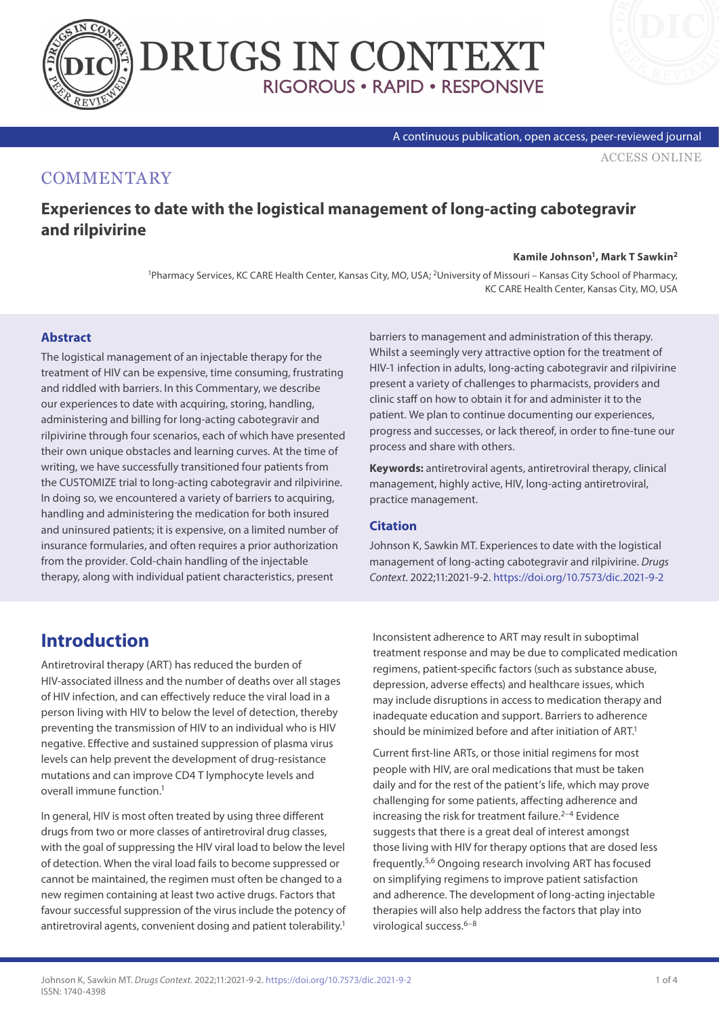



#### A continuous publication, open access, peer-reviewed journal

[ACCESS ONLINE](https://www.drugsincontext.com/experiences-to-date-with-the-logistical-management-of-long-acting-cabotegravir-and-rilpivirine)

#### **COMMENTARY**

### **Experiences to date with the logistical management of long-acting cabotegravir and rilpivirine**

#### **Kamile Johnson1, Mark T Sawkin2**

1Pharmacy Services, KC CARE Health Center, Kansas City, MO, USA; 2University of Missouri – Kansas City School of Pharmacy, KC CARE Health Center, Kansas City, MO, USA

#### **Abstract**

The logistical management of an injectable therapy for the treatment of HIV can be expensive, time consuming, frustrating and riddled with barriers. In this Commentary, we describe our experiences to date with acquiring, storing, handling, administering and billing for long-acting cabotegravir and rilpivirine through four scenarios, each of which have presented their own unique obstacles and learning curves. At the time of writing, we have successfully transitioned four patients from the CUSTOMIZE trial to long-acting cabotegravir and rilpivirine. In doing so, we encountered a variety of barriers to acquiring, handling and administering the medication for both insured and uninsured patients; it is expensive, on a limited number of insurance formularies, and often requires a prior authorization from the provider. Cold-chain handling of the injectable therapy, along with individual patient characteristics, present

barriers to management and administration of this therapy. Whilst a seemingly very attractive option for the treatment of HIV-1 infection in adults, long-acting cabotegravir and rilpivirine present a variety of challenges to pharmacists, providers and clinic staff on how to obtain it for and administer it to the patient. We plan to continue documenting our experiences, progress and successes, or lack thereof, in order to fine-tune our process and share with others.

**Keywords:** antiretroviral agents, antiretroviral therapy, clinical management, highly active, HIV, long-acting antiretroviral, practice management.

#### **Citation**

Johnson K, Sawkin MT. Experiences to date with the logistical management of long-acting cabotegravir and rilpivirine. *Drugs Context*. 2022;11:2021-9-2. <https://doi.org/10.7573/dic.2021-9-2>

## **Introduction**

Antiretroviral therapy (ART) has reduced the burden of HIV-associated illness and the number of deaths over all stages of HIV infection, and can effectively reduce the viral load in a person living with HIV to below the level of detection, thereby preventing the transmission of HIV to an individual who is HIV negative. Effective and sustained suppression of plasma virus levels can help prevent the development of drug-resistance mutations and can improve CD4 T lymphocyte levels and overall immune function.1

In general, HIV is most often treated by using three different drugs from two or more classes of antiretroviral drug classes, with the goal of suppressing the HIV viral load to below the level of detection. When the viral load fails to become suppressed or cannot be maintained, the regimen must often be changed to a new regimen containing at least two active drugs. Factors that favour successful suppression of the virus include the potency of antiretroviral agents, convenient dosing and patient tolerability.<sup>1</sup>

Inconsistent adherence to ART may result in suboptimal treatment response and may be due to complicated medication regimens, patient-specific factors (such as substance abuse, depression, adverse effects) and healthcare issues, which may include disruptions in access to medication therapy and inadequate education and support. Barriers to adherence should be minimized before and after initiation of ART.<sup>1</sup>

Current first-line ARTs, or those initial regimens for most people with HIV, are oral medications that must be taken daily and for the rest of the patient's life, which may prove challenging for some patients, affecting adherence and increasing the risk for treatment failure. $2-4$  Evidence suggests that there is a great deal of interest amongst those living with HIV for therapy options that are dosed less frequently.5,6 Ongoing research involving ART has focused on simplifying regimens to improve patient satisfaction and adherence. The development of long-acting injectable therapies will also help address the factors that play into virological success.<sup>6-8</sup>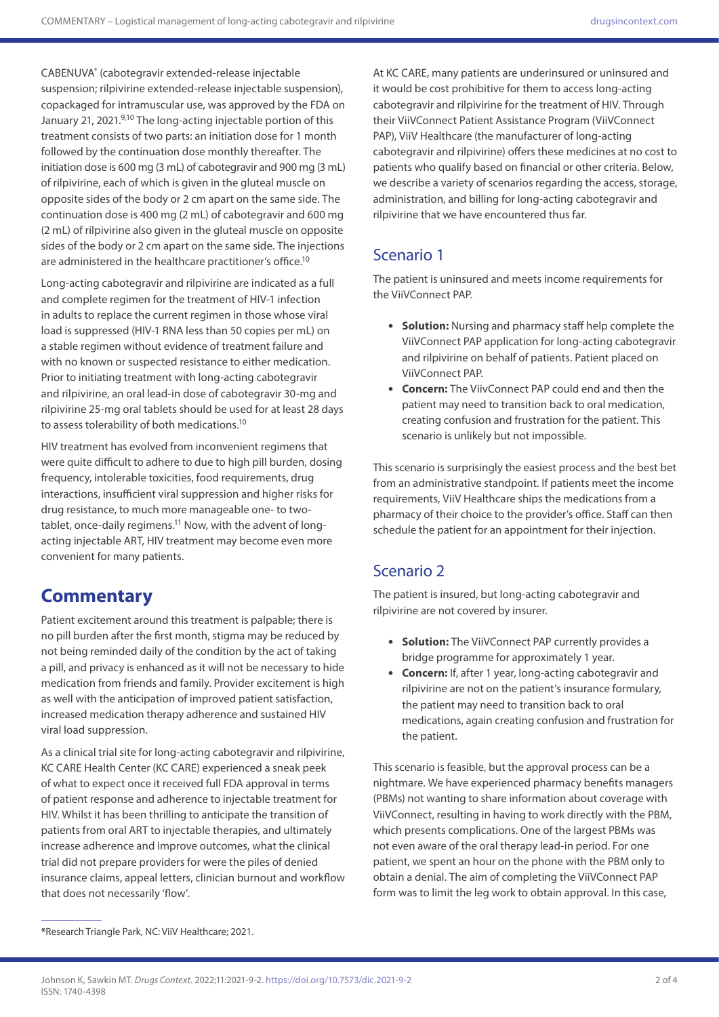CABENUVA\* (cabotegravir extended-release injectable suspension; rilpivirine extended-release injectable suspension), copackaged for intramuscular use, was approved by the FDA on January 21, 2021.9,10 The long-acting injectable portion of this treatment consists of two parts: an initiation dose for 1 month followed by the continuation dose monthly thereafter. The initiation dose is 600 mg (3 mL) of cabotegravir and 900 mg (3 mL) of rilpivirine, each of which is given in the gluteal muscle on opposite sides of the body or 2 cm apart on the same side. The continuation dose is 400 mg (2 mL) of cabotegravir and 600 mg (2 mL) of rilpivirine also given in the gluteal muscle on opposite sides of the body or 2 cm apart on the same side. The injections are administered in the healthcare practitioner's office.<sup>10</sup>

Long-acting cabotegravir and rilpivirine are indicated as a full and complete regimen for the treatment of HIV-1 infection in adults to replace the current regimen in those whose viral load is suppressed (HIV-1 RNA less than 50 copies per mL) on a stable regimen without evidence of treatment failure and with no known or suspected resistance to either medication. Prior to initiating treatment with long-acting cabotegravir and rilpivirine, an oral lead-in dose of cabotegravir 30-mg and rilpivirine 25-mg oral tablets should be used for at least 28 days to assess tolerability of both medications.10

HIV treatment has evolved from inconvenient regimens that were quite difficult to adhere to due to high pill burden, dosing frequency, intolerable toxicities, food requirements, drug interactions, insufficient viral suppression and higher risks for drug resistance, to much more manageable one- to twotablet, once-daily regimens.<sup>11</sup> Now, with the advent of longacting injectable ART, HIV treatment may become even more convenient for many patients.

## **Commentary**

Patient excitement around this treatment is palpable; there is no pill burden after the first month, stigma may be reduced by not being reminded daily of the condition by the act of taking a pill, and privacy is enhanced as it will not be necessary to hide medication from friends and family. Provider excitement is high as well with the anticipation of improved patient satisfaction, increased medication therapy adherence and sustained HIV viral load suppression.

As a clinical trial site for long-acting cabotegravir and rilpivirine, KC CARE Health Center (KC CARE) experienced a sneak peek of what to expect once it received full FDA approval in terms of patient response and adherence to injectable treatment for HIV. Whilst it has been thrilling to anticipate the transition of patients from oral ART to injectable therapies, and ultimately increase adherence and improve outcomes, what the clinical trial did not prepare providers for were the piles of denied insurance claims, appeal letters, clinician burnout and workflow that does not necessarily 'flow'.

At KC CARE, many patients are underinsured or uninsured and it would be cost prohibitive for them to access long-acting cabotegravir and rilpivirine for the treatment of HIV. Through their ViiVConnect Patient Assistance Program (ViiVConnect PAP), ViiV Healthcare (the manufacturer of long-acting cabotegravir and rilpivirine) offers these medicines at no cost to patients who qualify based on financial or other criteria. Below, we describe a variety of scenarios regarding the access, storage, administration, and billing for long-acting cabotegravir and rilpivirine that we have encountered thus far.

## Scenario 1

The patient is uninsured and meets income requirements for the ViiVConnect PAP.

- **Solution:** Nursing and pharmacy staff help complete the ViiVConnect PAP application for long-acting cabotegravir and rilpivirine on behalf of patients. Patient placed on ViiVConnect PAP.
- **Concern:** The ViivConnect PAP could end and then the patient may need to transition back to oral medication, creating confusion and frustration for the patient. This scenario is unlikely but not impossible.

This scenario is surprisingly the easiest process and the best bet from an administrative standpoint. If patients meet the income requirements, ViiV Healthcare ships the medications from a pharmacy of their choice to the provider's office. Staff can then schedule the patient for an appointment for their injection.

## Scenario 2

The patient is insured, but long-acting cabotegravir and rilpivirine are not covered by insurer.

- **Solution:** The ViiVConnect PAP currently provides a bridge programme for approximately 1 year.
- **Concern:** If, after 1 year, long-acting cabotegravir and rilpivirine are not on the patient's insurance formulary, the patient may need to transition back to oral medications, again creating confusion and frustration for the patient.

This scenario is feasible, but the approval process can be a nightmare. We have experienced pharmacy benefits managers (PBMs) not wanting to share information about coverage with ViiVConnect, resulting in having to work directly with the PBM, which presents complications. One of the largest PBMs was not even aware of the oral therapy lead-in period. For one patient, we spent an hour on the phone with the PBM only to obtain a denial. The aim of completing the ViiVConnect PAP form was to limit the leg work to obtain approval. In this case,

**<sup>\*</sup>**Research Triangle Park, NC: ViiV Healthcare; 2021.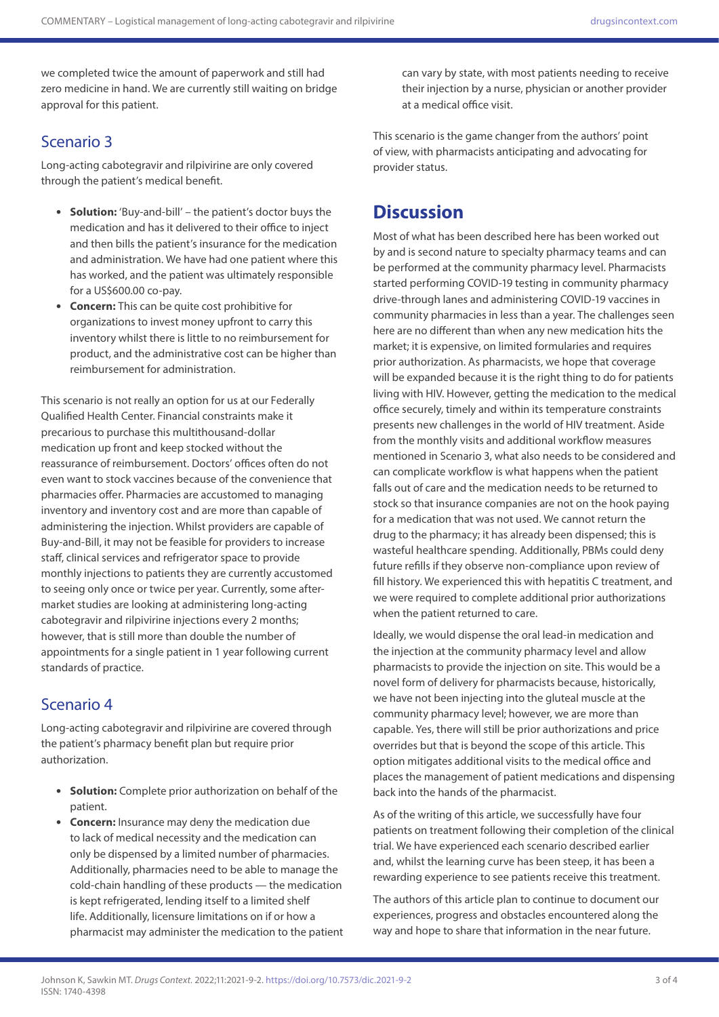we completed twice the amount of paperwork and still had zero medicine in hand. We are currently still waiting on bridge approval for this patient.

### Scenario 3

Long-acting cabotegravir and rilpivirine are only covered through the patient's medical benefit.

- **Solution:** 'Buy-and-bill' the patient's doctor buys the medication and has it delivered to their office to inject and then bills the patient's insurance for the medication and administration. We have had one patient where this has worked, and the patient was ultimately responsible for a US\$600.00 co-pay.
- **Concern:** This can be quite cost prohibitive for organizations to invest money upfront to carry this inventory whilst there is little to no reimbursement for product, and the administrative cost can be higher than reimbursement for administration.

This scenario is not really an option for us at our Federally Qualified Health Center. Financial constraints make it precarious to purchase this multithousand-dollar medication up front and keep stocked without the reassurance of reimbursement. Doctors' offices often do not even want to stock vaccines because of the convenience that pharmacies offer. Pharmacies are accustomed to managing inventory and inventory cost and are more than capable of administering the injection. Whilst providers are capable of Buy-and-Bill, it may not be feasible for providers to increase staff, clinical services and refrigerator space to provide monthly injections to patients they are currently accustomed to seeing only once or twice per year. Currently, some aftermarket studies are looking at administering long-acting cabotegravir and rilpivirine injections every 2 months; however, that is still more than double the number of appointments for a single patient in 1 year following current standards of practice.

### Scenario 4

Long-acting cabotegravir and rilpivirine are covered through the patient's pharmacy benefit plan but require prior authorization.

- **Solution:** Complete prior authorization on behalf of the patient.
- **Concern:** Insurance may deny the medication due to lack of medical necessity and the medication can only be dispensed by a limited number of pharmacies. Additionally, pharmacies need to be able to manage the cold-chain handling of these products — the medication is kept refrigerated, lending itself to a limited shelf life. Additionally, licensure limitations on if or how a pharmacist may administer the medication to the patient

can vary by state, with most patients needing to receive their injection by a nurse, physician or another provider at a medical office visit.

This scenario is the game changer from the authors' point of view, with pharmacists anticipating and advocating for provider status.

# **Discussion**

Most of what has been described here has been worked out by and is second nature to specialty pharmacy teams and can be performed at the community pharmacy level. Pharmacists started performing COVID-19 testing in community pharmacy drive-through lanes and administering COVID-19 vaccines in community pharmacies in less than a year. The challenges seen here are no different than when any new medication hits the market; it is expensive, on limited formularies and requires prior authorization. As pharmacists, we hope that coverage will be expanded because it is the right thing to do for patients living with HIV. However, getting the medication to the medical office securely, timely and within its temperature constraints presents new challenges in the world of HIV treatment. Aside from the monthly visits and additional workflow measures mentioned in Scenario 3, what also needs to be considered and can complicate workflow is what happens when the patient falls out of care and the medication needs to be returned to stock so that insurance companies are not on the hook paying for a medication that was not used. We cannot return the drug to the pharmacy; it has already been dispensed; this is wasteful healthcare spending. Additionally, PBMs could deny future refills if they observe non-compliance upon review of fill history. We experienced this with hepatitis C treatment, and we were required to complete additional prior authorizations when the patient returned to care.

Ideally, we would dispense the oral lead-in medication and the injection at the community pharmacy level and allow pharmacists to provide the injection on site. This would be a novel form of delivery for pharmacists because, historically, we have not been injecting into the gluteal muscle at the community pharmacy level; however, we are more than capable. Yes, there will still be prior authorizations and price overrides but that is beyond the scope of this article. This option mitigates additional visits to the medical office and places the management of patient medications and dispensing back into the hands of the pharmacist.

As of the writing of this article, we successfully have four patients on treatment following their completion of the clinical trial. We have experienced each scenario described earlier and, whilst the learning curve has been steep, it has been a rewarding experience to see patients receive this treatment.

The authors of this article plan to continue to document our experiences, progress and obstacles encountered along the way and hope to share that information in the near future.